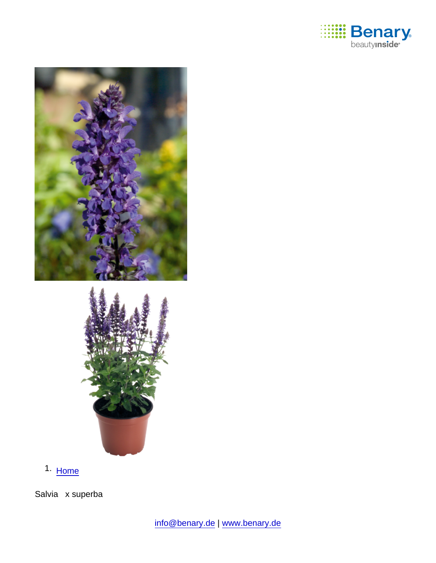

1. [Home](https://www.benary.com/)

Salvia x superba

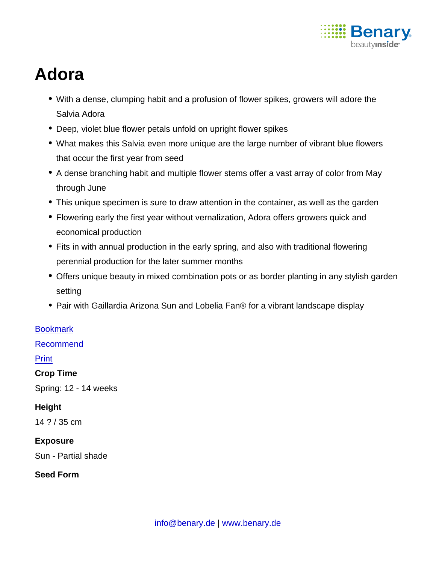

# Adora

- With a dense, clumping habit and a profusion of flower spikes, growers will adore the Salvia Adora
- Deep, violet blue flower petals unfold on upright flower spikes
- What makes this Salvia even more unique are the large number of vibrant blue flowers that occur the first year from seed
- A dense branching habit and multiple flower stems offer a vast array of color from May through June
- This unique specimen is sure to draw attention in the container, as well as the garden
- Flowering early the first year without vernalization, Adora offers growers quick and economical production
- Fits in with annual production in the early spring, and also with traditional flowering perennial production for the later summer months
- Offers unique beauty in mixed combination pots or as border planting in any stylish garden setting
- Pair with Gaillardia Arizona Sun and Lobelia Fan® for a vibrant landscape display

#### **[Bookmark](https://www.benary.com/flag/flag/product/6263?destination&token=oJZpJBcnPAHMqlmmzPb6aTOR9v29MzXiDlvt7RRy_1I)**

[Recommend](mailto:?subject=Benary Salvia x superba &body=https://www.benary.com/print/pdf/node/6263)

#### Print

Crop Time

Spring: 12 - 14 weeks

**Height** 

14 ? / 35 cm

Exposure Sun - Partial shade

Seed Form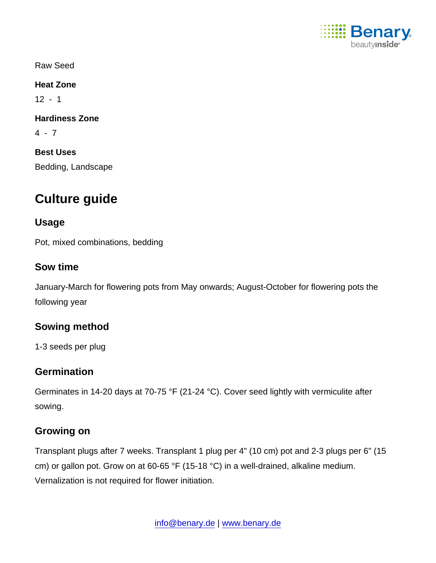

Raw Seed

Heat Zone

 $12 - 1$ 

Hardiness Zone

4 - 7

Best Uses

Bedding, Landscape

# Culture guide

Usage

Pot, mixed combinations, bedding

Sow time

January-March for flowering pots from May onwards; August-October for flowering pots the following year

Sowing method

1-3 seeds per plug

## **Germination**

Germinates in 14-20 days at 70-75 °F (21-24 °C). Cover seed lightly with vermiculite after sowing.

## Growing on

Transplant plugs after 7 weeks. Transplant 1 plug per 4" (10 cm) pot and 2-3 plugs per 6" (15 cm) or gallon pot. Grow on at 60-65 °F (15-18 °C) in a well-drained, alkaline medium. Vernalization is not required for flower initiation.